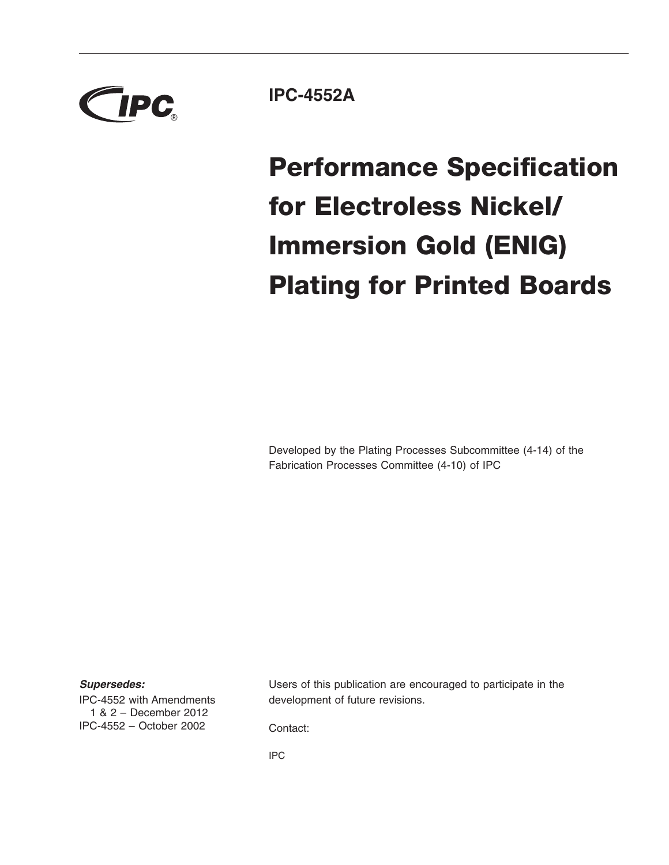

**IPC-4552A**

# **Performance Specification for Electroless Nickel/ Immersion Gold (ENIG) Plating for Printed Boards**

Developed by the Plating Processes Subcommittee (4-14) of the Fabrication Processes Committee (4-10) of IPC

#### *Supersedes:*

IPC-4552 with Amendments 1&2– December 2012 IPC-4552 – October 2002

Users of this publication are encouraged to participate in the development of future revisions.

Contact:

IPC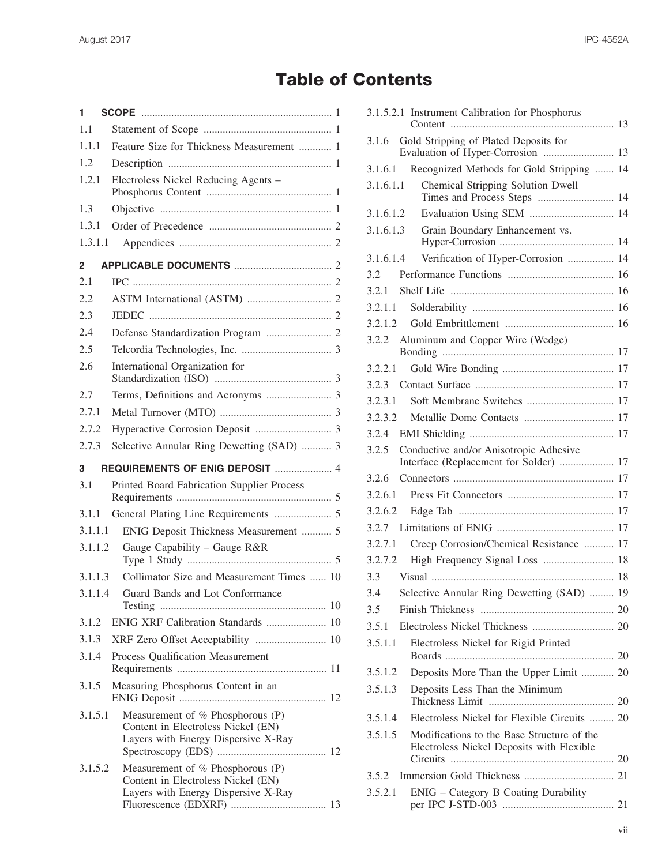# **Table of Contents**

| 1       |                                                                                                               |
|---------|---------------------------------------------------------------------------------------------------------------|
| 1.1     |                                                                                                               |
| 1.1.1   | Feature Size for Thickness Measurement  1                                                                     |
| 1.2     |                                                                                                               |
| 1.2.1   | Electroless Nickel Reducing Agents -                                                                          |
| 1.3     |                                                                                                               |
| 1.3.1   |                                                                                                               |
| 1.3.1.1 |                                                                                                               |
| 2       |                                                                                                               |
| 2.1     |                                                                                                               |
| 2.2     |                                                                                                               |
| 2.3     |                                                                                                               |
| 2.4     |                                                                                                               |
| 2.5     |                                                                                                               |
| 2.6     | International Organization for                                                                                |
| 2.7     |                                                                                                               |
| 2.7.1   |                                                                                                               |
| 2.7.2   |                                                                                                               |
| 2.7.3   | Selective Annular Ring Dewetting (SAD)  3                                                                     |
| 3       | REQUIREMENTS OF ENIG DEPOSIT  4                                                                               |
| 3.1     | Printed Board Fabrication Supplier Process                                                                    |
| 3.1.1   |                                                                                                               |
| 3.1.1.1 | ENIG Deposit Thickness Measurement  5                                                                         |
| 3.1.1.2 | Gauge Capability - Gauge R&R                                                                                  |
| 3.1.1.3 | Collimator Size and Measurement Times  10                                                                     |
|         | 3.1.1.4 Guard Bands and Lot Conformance                                                                       |
| 3.1.2   | ENIG XRF Calibration Standards  10                                                                            |
| 3.1.3   | XRF Zero Offset Acceptability  10                                                                             |
| 3.1.4   | Process Qualification Measurement                                                                             |
| 3.1.5   | Measuring Phosphorus Content in an                                                                            |
| 3.1.5.1 | Measurement of % Phosphorous (P)<br>Content in Electroless Nickel (EN)<br>Layers with Energy Dispersive X-Ray |
| 3.1.5.2 | Measurement of % Phosphorous (P)<br>Content in Electroless Nickel (EN)<br>Layers with Energy Dispersive X-Ray |

|       | 3.1.5.2.1 Instrument Calibration for Phosphorus                                         |                                                                                                                                                                                                                                                                                                                                                                                                                                                                                                                                                                                                                     |
|-------|-----------------------------------------------------------------------------------------|---------------------------------------------------------------------------------------------------------------------------------------------------------------------------------------------------------------------------------------------------------------------------------------------------------------------------------------------------------------------------------------------------------------------------------------------------------------------------------------------------------------------------------------------------------------------------------------------------------------------|
| 3.1.6 | Gold Stripping of Plated Deposits for                                                   |                                                                                                                                                                                                                                                                                                                                                                                                                                                                                                                                                                                                                     |
|       |                                                                                         |                                                                                                                                                                                                                                                                                                                                                                                                                                                                                                                                                                                                                     |
|       | Chemical Stripping Solution Dwell                                                       |                                                                                                                                                                                                                                                                                                                                                                                                                                                                                                                                                                                                                     |
|       |                                                                                         |                                                                                                                                                                                                                                                                                                                                                                                                                                                                                                                                                                                                                     |
|       |                                                                                         |                                                                                                                                                                                                                                                                                                                                                                                                                                                                                                                                                                                                                     |
|       |                                                                                         |                                                                                                                                                                                                                                                                                                                                                                                                                                                                                                                                                                                                                     |
|       | Verification of Hyper-Corrosion  14                                                     |                                                                                                                                                                                                                                                                                                                                                                                                                                                                                                                                                                                                                     |
| 3.2   |                                                                                         |                                                                                                                                                                                                                                                                                                                                                                                                                                                                                                                                                                                                                     |
|       |                                                                                         |                                                                                                                                                                                                                                                                                                                                                                                                                                                                                                                                                                                                                     |
|       |                                                                                         |                                                                                                                                                                                                                                                                                                                                                                                                                                                                                                                                                                                                                     |
|       |                                                                                         |                                                                                                                                                                                                                                                                                                                                                                                                                                                                                                                                                                                                                     |
| 3.2.2 | Aluminum and Copper Wire (Wedge)                                                        |                                                                                                                                                                                                                                                                                                                                                                                                                                                                                                                                                                                                                     |
|       |                                                                                         |                                                                                                                                                                                                                                                                                                                                                                                                                                                                                                                                                                                                                     |
| 3.2.3 |                                                                                         |                                                                                                                                                                                                                                                                                                                                                                                                                                                                                                                                                                                                                     |
|       |                                                                                         |                                                                                                                                                                                                                                                                                                                                                                                                                                                                                                                                                                                                                     |
|       |                                                                                         |                                                                                                                                                                                                                                                                                                                                                                                                                                                                                                                                                                                                                     |
|       |                                                                                         |                                                                                                                                                                                                                                                                                                                                                                                                                                                                                                                                                                                                                     |
| 3.2.5 | Conductive and/or Anisotropic Adhesive                                                  |                                                                                                                                                                                                                                                                                                                                                                                                                                                                                                                                                                                                                     |
|       |                                                                                         |                                                                                                                                                                                                                                                                                                                                                                                                                                                                                                                                                                                                                     |
|       |                                                                                         |                                                                                                                                                                                                                                                                                                                                                                                                                                                                                                                                                                                                                     |
|       |                                                                                         |                                                                                                                                                                                                                                                                                                                                                                                                                                                                                                                                                                                                                     |
|       |                                                                                         |                                                                                                                                                                                                                                                                                                                                                                                                                                                                                                                                                                                                                     |
|       | Creep Corrosion/Chemical Resistance  17                                                 |                                                                                                                                                                                                                                                                                                                                                                                                                                                                                                                                                                                                                     |
|       | High Frequency Signal Loss  18                                                          |                                                                                                                                                                                                                                                                                                                                                                                                                                                                                                                                                                                                                     |
| 3.3   |                                                                                         |                                                                                                                                                                                                                                                                                                                                                                                                                                                                                                                                                                                                                     |
| 3.4   |                                                                                         |                                                                                                                                                                                                                                                                                                                                                                                                                                                                                                                                                                                                                     |
| 3.5   |                                                                                         |                                                                                                                                                                                                                                                                                                                                                                                                                                                                                                                                                                                                                     |
| 3.5.1 |                                                                                         |                                                                                                                                                                                                                                                                                                                                                                                                                                                                                                                                                                                                                     |
|       | Electroless Nickel for Rigid Printed                                                    |                                                                                                                                                                                                                                                                                                                                                                                                                                                                                                                                                                                                                     |
|       |                                                                                         |                                                                                                                                                                                                                                                                                                                                                                                                                                                                                                                                                                                                                     |
|       | Deposits Less Than the Minimum                                                          |                                                                                                                                                                                                                                                                                                                                                                                                                                                                                                                                                                                                                     |
|       |                                                                                         |                                                                                                                                                                                                                                                                                                                                                                                                                                                                                                                                                                                                                     |
|       | Modifications to the Base Structure of the<br>Electroless Nickel Deposits with Flexible |                                                                                                                                                                                                                                                                                                                                                                                                                                                                                                                                                                                                                     |
|       |                                                                                         |                                                                                                                                                                                                                                                                                                                                                                                                                                                                                                                                                                                                                     |
|       | ENIG - Category B Coating Durability                                                    |                                                                                                                                                                                                                                                                                                                                                                                                                                                                                                                                                                                                                     |
|       |                                                                                         |                                                                                                                                                                                                                                                                                                                                                                                                                                                                                                                                                                                                                     |
|       | 3.5.2                                                                                   | Evaluation of Hyper-Corrosion  13<br>Recognized Methods for Gold Stripping  14<br>3.1.6.1<br>3.1.6.1.1<br>Times and Process Steps  14<br>Evaluation Using SEM  14<br>3.1.6.1.2<br>3.1.6.1.3<br>Grain Boundary Enhancement vs.<br>3.1.6.1.4<br>3.2.1.1<br>3.2.1.2<br>3.2.2.1<br>3.2.3.1<br>3.2.3.2<br>3.2.4<br>Interface (Replacement for Solder)  17<br>3.2.6<br>3.2.6.1<br>3.2.6.2<br>3.2.7.1<br>3.2.7.2<br>Selective Annular Ring Dewetting (SAD)  19<br>3.5.1.1<br>3.5.1.2<br>Deposits More Than the Upper Limit  20<br>3.5.1.3<br>Electroless Nickel for Flexible Circuits  20<br>3.5.1.4<br>3.5.1.5<br>3.5.2.1 |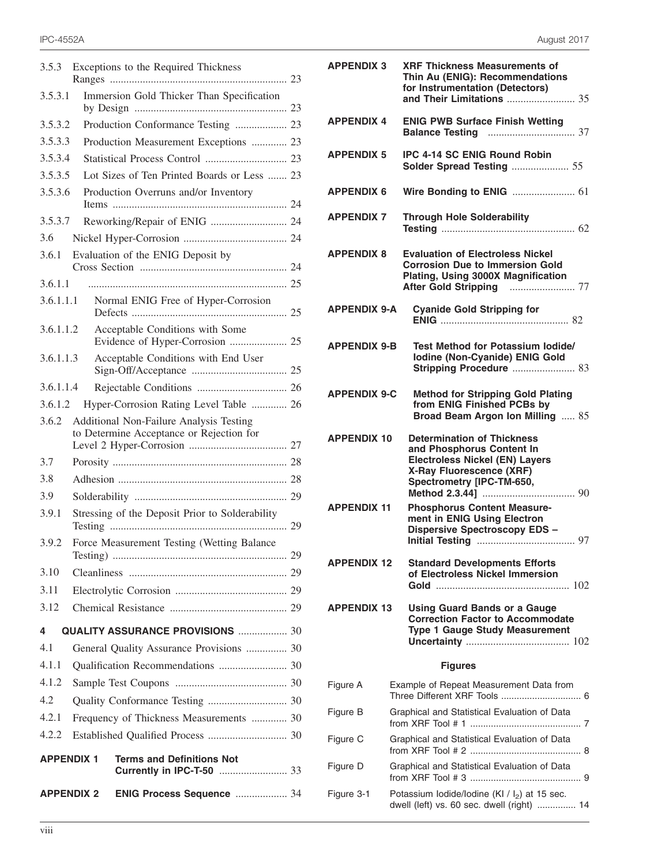| 3.5.3     | Exceptions to the Required Thickness                                                |
|-----------|-------------------------------------------------------------------------------------|
| 3.5.3.1   | Immersion Gold Thicker Than Specification                                           |
| 3.5.3.2   | Production Conformance Testing  23                                                  |
| 3.5.3.3   | Production Measurement Exceptions  23                                               |
| 3.5.3.4   |                                                                                     |
| 3.5.3.5   | Lot Sizes of Ten Printed Boards or Less  23                                         |
| 3.5.3.6   | Production Overruns and/or Inventory                                                |
| 3.5.3.7   | Reworking/Repair of ENIG  24                                                        |
| 3.6       |                                                                                     |
| 3.6.1     | Evaluation of the ENIG Deposit by                                                   |
| 3.6.1.1   |                                                                                     |
| 3.6.1.1.1 | Normal ENIG Free of Hyper-Corrosion                                                 |
| 3.6.1.1.2 | Acceptable Conditions with Some                                                     |
| 3.6.1.1.3 | Acceptable Conditions with End User                                                 |
| 3.6.1.1.4 |                                                                                     |
| 3.6.1.2   | Hyper-Corrosion Rating Level Table  26                                              |
| 3.6.2     | Additional Non-Failure Analysis Testing<br>to Determine Acceptance or Rejection for |
| 3.7       |                                                                                     |
| 3.8       |                                                                                     |
| 3.9       |                                                                                     |
| 3.9.1     | Stressing of the Deposit Prior to Solderability                                     |
| 3.9.2     | Force Measurement Testing (Wetting Balance                                          |
| 3.10      |                                                                                     |
| 3.11      |                                                                                     |
| 3.12      |                                                                                     |
| 4         | <b>QUALITY ASSURANCE PROVISIONS  30</b>                                             |
| 4.1       | General Quality Assurance Provisions  30                                            |
| 4.1.1     |                                                                                     |
| 4.1.2     |                                                                                     |
| 4.2       |                                                                                     |
| 4.2.1     | Frequency of Thickness Measurements  30                                             |
| 4.2.2     |                                                                                     |
|           | <b>APPENDIX 1</b><br><b>Terms and Definitions Not</b><br>Currently in IPC-T-50  33  |
|           | <b>APPENDIX 2</b><br>ENIG Process Sequence  34                                      |

| <b>APPENDIX 3</b>   | <b>XRF Thickness Measurements of</b><br>Thin Au (ENIG): Recommendations<br>for Instrumentation (Detectors)                                                       |
|---------------------|------------------------------------------------------------------------------------------------------------------------------------------------------------------|
| <b>APPENDIX 4</b>   | <b>ENIG PWB Surface Finish Wetting</b>                                                                                                                           |
| <b>APPENDIX 5</b>   | <b>IPC 4-14 SC ENIG Round Robin</b><br>Solder Spread Testing  55                                                                                                 |
| <b>APPENDIX 6</b>   |                                                                                                                                                                  |
| <b>APPENDIX 7</b>   | <b>Through Hole Solderability</b>                                                                                                                                |
| <b>APPENDIX 8</b>   | <b>Evaluation of Electroless Nickel</b><br><b>Corrosion Due to Immersion Gold</b><br>Plating, Using 3000X Magnification                                          |
| <b>APPENDIX 9-A</b> | <b>Cyanide Gold Stripping for</b>                                                                                                                                |
| <b>APPENDIX 9-B</b> | <b>Test Method for Potassium lodide/</b><br>Iodine (Non-Cyanide) ENIG Gold<br>Stripping Procedure  83                                                            |
| <b>APPENDIX 9-C</b> | <b>Method for Stripping Gold Plating</b><br>from ENIG Finished PCBs by<br>Broad Beam Argon Ion Milling  85                                                       |
| <b>APPENDIX 10</b>  | <b>Determination of Thickness</b><br>and Phosphorus Content In<br><b>Electroless Nickel (EN) Layers</b><br>X-Ray Fluorescence (XRF)<br>Spectrometry [IPC-TM-650, |
| <b>APPENDIX 11</b>  | <b>Phosphorus Content Measure-</b><br>ment in ENIG Using Electron<br><b>Dispersive Spectroscopy EDS -</b>                                                        |
| <b>APPENDIX 12</b>  | <b>Standard Developments Efforts</b><br>of Electroless Nickel Immersion                                                                                          |
| <b>APPENDIX 13</b>  | <b>Using Guard Bands or a Gauge</b><br><b>Correction Factor to Accommodate</b><br><b>Type 1 Gauge Study Measurement</b>                                          |
|                     | <b>Figures</b>                                                                                                                                                   |
| Figure A            | Example of Repeat Measurement Data from                                                                                                                          |
| Figure B            | Graphical and Statistical Evaluation of Data                                                                                                                     |
| Figure C            | Graphical and Statistical Evaluation of Data                                                                                                                     |
| Figure D            | Graphical and Statistical Evaluation of Data                                                                                                                     |
| Figure 3-1          | Potassium lodide/lodine (KI / I <sub>2</sub> ) at 15 sec.<br>dwell (left) vs. 60 sec. dwell (right)  14                                                          |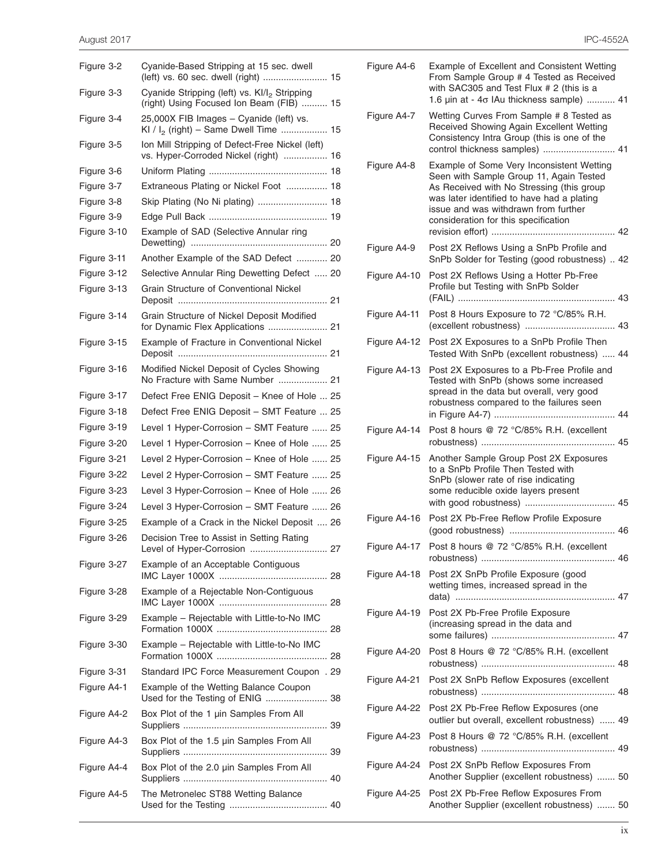| Figure 3-2  | Cyanide-Based Stripping at 15 sec. dwell                                                             |
|-------------|------------------------------------------------------------------------------------------------------|
| Figure 3-3  | Cyanide Stripping (left) vs. Kl/l <sub>2</sub> Stripping<br>(right) Using Focused Ion Beam (FIB)  15 |
| Figure 3-4  | 25,000X FIB Images - Cyanide (left) vs.<br>KI / $I_2$ (right) – Same Dwell Time  15                  |
| Figure 3-5  | Ion Mill Stripping of Defect-Free Nickel (left)<br>vs. Hyper-Corroded Nickel (right)  16             |
| Figure 3-6  |                                                                                                      |
| Figure 3-7  | Extraneous Plating or Nickel Foot  18                                                                |
| Figure 3-8  |                                                                                                      |
| Figure 3-9  |                                                                                                      |
| Figure 3-10 | Example of SAD (Selective Annular ring                                                               |
| Figure 3-11 | Another Example of the SAD Defect  20                                                                |
| Figure 3-12 | Selective Annular Ring Dewetting Defect  20                                                          |
| Figure 3-13 | Grain Structure of Conventional Nickel                                                               |
| Figure 3-14 | Grain Structure of Nickel Deposit Modified<br>for Dynamic Flex Applications  21                      |
| Figure 3-15 | Example of Fracture in Conventional Nickel                                                           |
| Figure 3-16 | Modified Nickel Deposit of Cycles Showing<br>No Fracture with Same Number  21                        |
| Figure 3-17 | Defect Free ENIG Deposit - Knee of Hole  25                                                          |
| Figure 3-18 | Defect Free ENIG Deposit - SMT Feature  25                                                           |
| Figure 3-19 | Level 1 Hyper-Corrosion - SMT Feature  25                                                            |
| Figure 3-20 | Level 1 Hyper-Corrosion - Knee of Hole  25                                                           |
| Figure 3-21 | Level 2 Hyper-Corrosion - Knee of Hole  25                                                           |
| Figure 3-22 | Level 2 Hyper-Corrosion - SMT Feature  25                                                            |
| Figure 3-23 | Level 3 Hyper-Corrosion - Knee of Hole  26                                                           |
| Figure 3-24 | Level 3 Hyper-Corrosion - SMT Feature  26                                                            |
| Figure 3-25 | Example of a Crack in the Nickel Deposit  26                                                         |
| Figure 3-26 | Decision Tree to Assist in Setting Rating<br>27<br>Level of Hyper-Corrosion                          |
| Figure 3-27 | Example of an Acceptable Contiguous                                                                  |
| Figure 3-28 | Example of a Rejectable Non-Contiguous                                                               |
| Figure 3-29 | Example - Rejectable with Little-to-No IMC                                                           |
| Figure 3-30 | Example - Rejectable with Little-to-No IMC                                                           |
| Figure 3-31 | Standard IPC Force Measurement Coupon . 29                                                           |
| Figure A4-1 | Example of the Wetting Balance Coupon<br>Used for the Testing of ENIG  38                            |
| Figure A4-2 | Box Plot of the 1 µin Samples From All                                                               |
| Figure A4-3 | Box Plot of the 1.5 µin Samples From All                                                             |
| Figure A4-4 | Box Plot of the 2.0 µin Samples From All                                                             |
| Figure A4-5 | The Metronelec ST88 Wetting Balance                                                                  |
|             |                                                                                                      |

| Figure A4-6  | Example of Excellent and Consistent Wetting<br>From Sample Group # 4 Tested as Received<br>with SAC305 and Test Flux # 2 (this is a<br>1.6 $\mu$ in at - 4 $\sigma$ IAu thickness sample)  41                                                                   |
|--------------|-----------------------------------------------------------------------------------------------------------------------------------------------------------------------------------------------------------------------------------------------------------------|
| Figure A4-7  | Wetting Curves From Sample # 8 Tested as<br>Received Showing Again Excellent Wetting<br>Consistency Intra Group (this is one of the<br>control thickness samples)  41                                                                                           |
| Figure A4-8  | Example of Some Very Inconsistent Wetting<br>Seen with Sample Group 11, Again Tested<br>As Received with No Stressing (this group<br>was later identified to have had a plating<br>issue and was withdrawn from further<br>consideration for this specification |
| Figure A4-9  | Post 2X Reflows Using a SnPb Profile and<br>SnPb Solder for Testing (good robustness)  42                                                                                                                                                                       |
| Figure A4-10 | Post 2X Reflows Using a Hotter Pb-Free<br>Profile but Testing with SnPb Solder                                                                                                                                                                                  |
| Figure A4-11 | Post 8 Hours Exposure to 72 °C/85% R.H.                                                                                                                                                                                                                         |
| Figure A4-12 | Post 2X Exposures to a SnPb Profile Then<br>Tested With SnPb (excellent robustness)  44                                                                                                                                                                         |
| Figure A4-13 | Post 2X Exposures to a Pb-Free Profile and<br>Tested with SnPb (shows some increased<br>spread in the data but overall, very good<br>robustness compared to the failures seen                                                                                   |
| Figure A4-14 | Post 8 hours @ 72 °C/85% R.H. (excellent                                                                                                                                                                                                                        |
| Figure A4-15 | Another Sample Group Post 2X Exposures<br>to a SnPb Profile Then Tested with<br>SnPb (slower rate of rise indicating<br>some reducible oxide layers present                                                                                                     |
| Figure A4-16 | Post 2X Pb-Free Reflow Profile Exposure                                                                                                                                                                                                                         |
|              | Figure A4-17 Post 8 hours @ 72 °C/85% R.H. (excellent                                                                                                                                                                                                           |
| Figure A4-18 | Post 2X SnPb Profile Exposure (good<br>wetting times, increased spread in the                                                                                                                                                                                   |
| Figure A4-19 | Post 2X Pb-Free Profile Exposure<br>(increasing spread in the data and                                                                                                                                                                                          |
| Figure A4-20 | Post 8 Hours @ 72 °C/85% R.H. (excellent                                                                                                                                                                                                                        |
| Figure A4-21 | Post 2X SnPb Reflow Exposures (excellent                                                                                                                                                                                                                        |
| Figure A4-22 | Post 2X Pb-Free Reflow Exposures (one<br>outlier but overall, excellent robustness)  49                                                                                                                                                                         |
| Figure A4-23 | Post 8 Hours @ 72 °C/85% R.H. (excellent                                                                                                                                                                                                                        |
| Figure A4-24 | Post 2X SnPb Reflow Exposures From<br>Another Supplier (excellent robustness)  50                                                                                                                                                                               |
| Figure A4-25 | Post 2X Pb-Free Reflow Exposures From<br>Another Supplier (excellent robustness)  50                                                                                                                                                                            |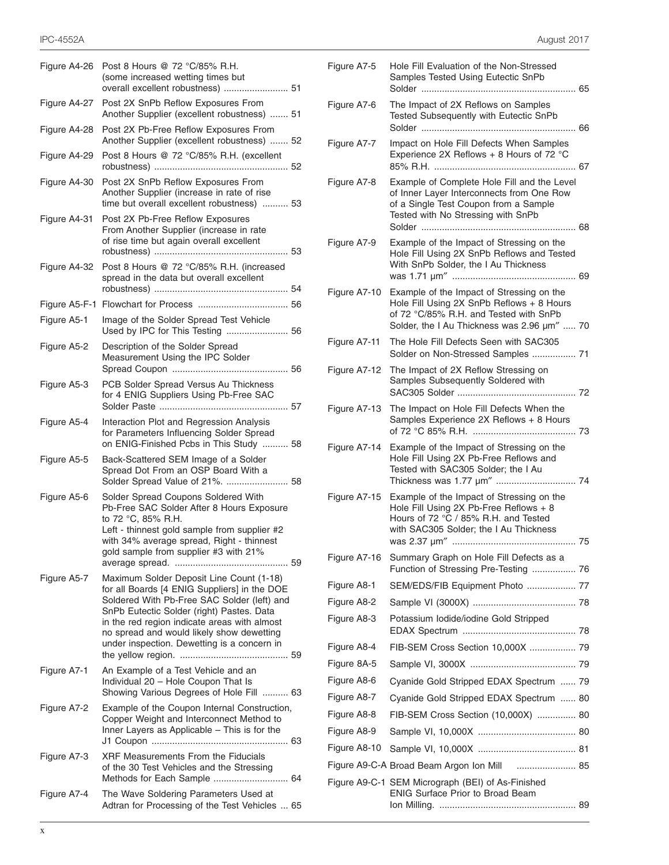| Figure A4-26 | Post 8 Hours @ 72 °C/85% R.H.<br>(some increased wetting times but<br>overall excellent robustness)  51                                                                                                                                                                                                                          |
|--------------|----------------------------------------------------------------------------------------------------------------------------------------------------------------------------------------------------------------------------------------------------------------------------------------------------------------------------------|
| Figure A4-27 | Post 2X SnPb Reflow Exposures From<br>Another Supplier (excellent robustness)  51                                                                                                                                                                                                                                                |
| Figure A4-28 | Post 2X Pb-Free Reflow Exposures From<br>Another Supplier (excellent robustness)  52                                                                                                                                                                                                                                             |
| Figure A4-29 | Post 8 Hours @ 72 °C/85% R.H. (excellent                                                                                                                                                                                                                                                                                         |
| Figure A4-30 | Post 2X SnPb Reflow Exposures From<br>Another Supplier (increase in rate of rise<br>time but overall excellent robustness)  53                                                                                                                                                                                                   |
| Figure A4-31 | Post 2X Pb-Free Reflow Exposures<br>From Another Supplier (increase in rate<br>of rise time but again overall excellent                                                                                                                                                                                                          |
| Figure A4-32 | Post 8 Hours @ 72 °C/85% R.H. (increased<br>spread in the data but overall excellent                                                                                                                                                                                                                                             |
|              |                                                                                                                                                                                                                                                                                                                                  |
| Figure A5-1  | Image of the Solder Spread Test Vehicle<br>Used by IPC for This Testing  56                                                                                                                                                                                                                                                      |
| Figure A5-2  | Description of the Solder Spread<br>Measurement Using the IPC Solder                                                                                                                                                                                                                                                             |
| Figure A5-3  | PCB Solder Spread Versus Au Thickness<br>for 4 ENIG Suppliers Using Pb-Free SAC                                                                                                                                                                                                                                                  |
| Figure A5-4  | Interaction Plot and Regression Analysis<br>for Parameters Influencing Solder Spread<br>on ENIG-Finished Pcbs in This Study  58                                                                                                                                                                                                  |
| Figure A5-5  | Back-Scattered SEM Image of a Solder<br>Spread Dot From an OSP Board With a<br>Solder Spread Value of 21%.  58                                                                                                                                                                                                                   |
| Figure A5-6  | Solder Spread Coupons Soldered With<br>Pb-Free SAC Solder After 8 Hours Exposure<br>to 72 °C, 85% R.H.<br>Left - thinnest gold sample from supplier #2<br>with 34% average spread, Right - thinnest<br>gold sample from supplier #3 with 21%                                                                                     |
| Figure A5-7  | Maximum Solder Deposit Line Count (1-18)<br>for all Boards [4 ENIG Suppliers] in the DOE<br>Soldered With Pb-Free SAC Solder (left) and<br>SnPb Eutectic Solder (right) Pastes. Data<br>in the red region indicate areas with almost<br>no spread and would likely show dewetting<br>under inspection. Dewetting is a concern in |
| Figure A7-1  | An Example of a Test Vehicle and an<br>Individual 20 - Hole Coupon That Is<br>Showing Various Degrees of Hole Fill  63                                                                                                                                                                                                           |
| Figure A7-2  | Example of the Coupon Internal Construction,<br>Copper Weight and Interconnect Method to<br>Inner Layers as Applicable - This is for the                                                                                                                                                                                         |
| Figure A7-3  | <b>XRF Measurements From the Fiducials</b><br>of the 30 Test Vehicles and the Stressing<br>Methods for Each Sample  64                                                                                                                                                                                                           |
| Figure A7-4  | The Wave Soldering Parameters Used at<br>Adtran for Processing of the Test Vehicles  65                                                                                                                                                                                                                                          |

| Figure A7-5  | Hole Fill Evaluation of the Non-Stressed<br>Samples Tested Using Eutectic SnPb<br>Solder                                                                                        |  |
|--------------|---------------------------------------------------------------------------------------------------------------------------------------------------------------------------------|--|
| Figure A7-6  | The Impact of 2X Reflows on Samples<br>Tested Subsequently with Eutectic SnPb                                                                                                   |  |
| Figure A7-7  | Impact on Hole Fill Defects When Samples<br>Experience 2X Reflows + 8 Hours of 72 °C                                                                                            |  |
| Figure A7-8  | Example of Complete Hole Fill and the Level<br>of Inner Layer Interconnects from One Row<br>of a Single Test Coupon from a Sample<br>Tested with No Stressing with SnPb         |  |
| Figure A7-9  | Example of the Impact of Stressing on the<br>Hole Fill Using 2X SnPb Reflows and Tested<br>With SnPb Solder, the I Au Thickness                                                 |  |
| Figure A7-10 | Example of the Impact of Stressing on the<br>Hole Fill Using 2X SnPb Reflows + 8 Hours<br>of 72 °C/85% R.H. and Tested with SnPb<br>Solder, the I Au Thickness was 2.96 um"  70 |  |
| Figure A7-11 | The Hole Fill Defects Seen with SAC305<br>Solder on Non-Stressed Samples  71                                                                                                    |  |
| Figure A7-12 | The Impact of 2X Reflow Stressing on<br>Samples Subsequently Soldered with                                                                                                      |  |
| Figure A7-13 | The Impact on Hole Fill Defects When the<br>Samples Experience 2X Reflows + 8 Hours                                                                                             |  |
| Figure A7-14 | Example of the Impact of Stressing on the<br>Hole Fill Using 2X Pb-Free Reflows and<br>Tested with SAC305 Solder; the I Au<br>Thickness was 1.77 um"  74                        |  |
| Figure A7-15 | Example of the Impact of Stressing on the<br>Hole Fill Using 2X Pb-Free Reflows + 8<br>Hours of 72 °C / 85% R.H. and Tested<br>with SAC305 Solder; the I Au Thickness           |  |
| Figure A7-16 | Summary Graph on Hole Fill Defects as a<br>Function of Stressing Pre-Testing  76                                                                                                |  |
| Figure A8-1  | SEM/EDS/FIB Equipment Photo  77                                                                                                                                                 |  |
| Figure A8-2  |                                                                                                                                                                                 |  |
| Figure A8-3  | Potassium lodide/iodine Gold Stripped                                                                                                                                           |  |
| Figure A8-4  | FIB-SEM Cross Section 10,000X  79                                                                                                                                               |  |
| Figure 8A-5  |                                                                                                                                                                                 |  |
| Figure A8-6  | Cyanide Gold Stripped EDAX Spectrum  79                                                                                                                                         |  |
| Figure A8-7  | Cyanide Gold Stripped EDAX Spectrum  80                                                                                                                                         |  |
| Figure A8-8  | FIB-SEM Cross Section (10,000X)  80                                                                                                                                             |  |
| Figure A8-9  |                                                                                                                                                                                 |  |
| Figure A8-10 |                                                                                                                                                                                 |  |
|              | Figure A9-C-A Broad Beam Argon Ion Mill<br>85                                                                                                                                   |  |
|              | Figure A9-C-1 SEM Micrograph (BEI) of As-Finished<br>ENIG Surface Prior to Broad Beam                                                                                           |  |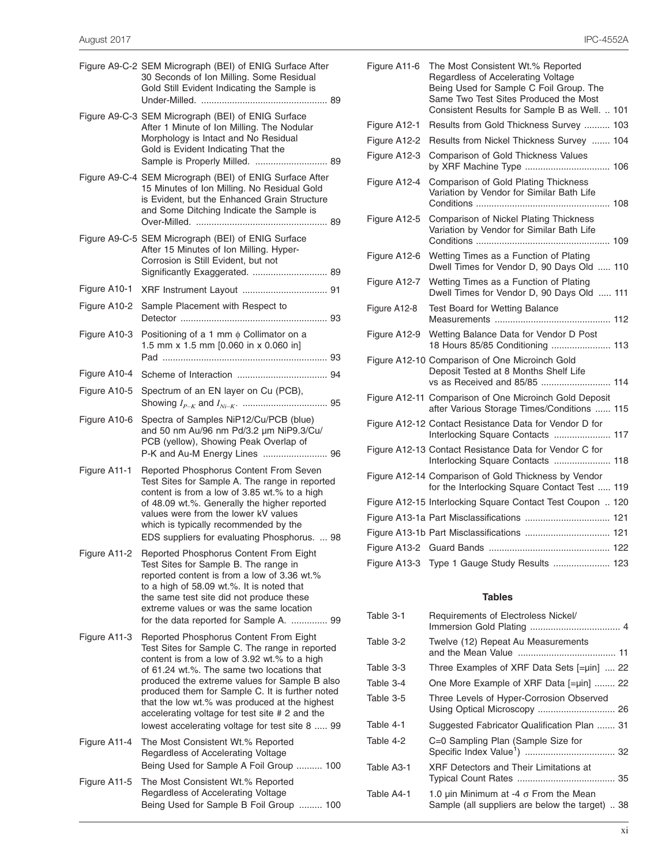|              | Figure A9-C-2 SEM Micrograph (BEI) of ENIG Surface After<br>30 Seconds of Ion Milling. Some Residual<br>Gold Still Evident Indicating the Sample is                                                                                                                                                                                                                                                                                              |  |
|--------------|--------------------------------------------------------------------------------------------------------------------------------------------------------------------------------------------------------------------------------------------------------------------------------------------------------------------------------------------------------------------------------------------------------------------------------------------------|--|
|              | Figure A9-C-3 SEM Micrograph (BEI) of ENIG Surface<br>After 1 Minute of Ion Milling. The Nodular<br>Morphology is Intact and No Residual<br>Gold is Evident Indicating That the<br>Sample is Properly Milled.  89                                                                                                                                                                                                                                |  |
|              | Figure A9-C-4 SEM Micrograph (BEI) of ENIG Surface After<br>15 Minutes of Ion Milling. No Residual Gold<br>is Evident, but the Enhanced Grain Structure<br>and Some Ditching Indicate the Sample is                                                                                                                                                                                                                                              |  |
|              | Figure A9-C-5 SEM Micrograph (BEI) of ENIG Surface<br>After 15 Minutes of Ion Milling. Hyper-<br>Corrosion is Still Evident, but not                                                                                                                                                                                                                                                                                                             |  |
| Figure A10-1 |                                                                                                                                                                                                                                                                                                                                                                                                                                                  |  |
| Figure A10-2 | Sample Placement with Respect to                                                                                                                                                                                                                                                                                                                                                                                                                 |  |
| Figure A10-3 | Positioning of a 1 mm $\phi$ Collimator on a<br>1.5 mm x 1.5 mm [0.060 in x 0.060 in]                                                                                                                                                                                                                                                                                                                                                            |  |
| Figure A10-4 |                                                                                                                                                                                                                                                                                                                                                                                                                                                  |  |
| Figure A10-5 | Spectrum of an EN layer on Cu (PCB),                                                                                                                                                                                                                                                                                                                                                                                                             |  |
| Figure A10-6 | Spectra of Samples NiP12/Cu/PCB (blue)<br>and 50 nm Au/96 nm Pd/3.2 µm NiP9.3/Cu/<br>PCB (yellow), Showing Peak Overlap of<br>P-K and Au-M Energy Lines  96                                                                                                                                                                                                                                                                                      |  |
| Figure A11-1 | Reported Phosphorus Content From Seven<br>Test Sites for Sample A. The range in reported<br>content is from a low of 3.85 wt.% to a high<br>of 48.09 wt.%. Generally the higher reported<br>values were from the lower kV values<br>which is typically recommended by the<br>EDS suppliers for evaluating Phosphorus.  98                                                                                                                        |  |
| Figure A11-2 | Reported Phosphorus Content From Eight<br>Test Sites for Sample B. The range in<br>reported content is from a low of 3.36 wt.%<br>to a high of 58.09 wt.%. It is noted that<br>the same test site did not produce these<br>extreme values or was the same location<br>for the data reported for Sample A.  99                                                                                                                                    |  |
| Figure A11-3 | Reported Phosphorus Content From Eight<br>Test Sites for Sample C. The range in reported<br>content is from a low of 3.92 wt.% to a high<br>of 61.24 wt.%. The same two locations that<br>produced the extreme values for Sample B also<br>produced them for Sample C. It is further noted<br>that the low wt.% was produced at the highest<br>accelerating voltage for test site # 2 and the<br>lowest accelerating voltage for test site 8  99 |  |
| Figure A11-4 | The Most Consistent Wt.% Reported<br>Regardless of Accelerating Voltage<br>Being Used for Sample A Foil Group  100                                                                                                                                                                                                                                                                                                                               |  |
| Figure A11-5 | The Most Consistent Wt.% Reported<br>Regardless of Accelerating Voltage<br>Being Used for Sample B Foil Group  100                                                                                                                                                                                                                                                                                                                               |  |

| Figure A11-6 | The Most Consistent Wt.% Reported<br>Regardless of Accelerating Voltage<br>Being Used for Sample C Foil Group. The<br>Same Two Test Sites Produced the Most<br>Consistent Results for Sample B as Well.  101 |  |
|--------------|--------------------------------------------------------------------------------------------------------------------------------------------------------------------------------------------------------------|--|
| Figure A12-1 | Results from Gold Thickness Survey  103                                                                                                                                                                      |  |
| Figure A12-2 | Results from Nickel Thickness Survey  104                                                                                                                                                                    |  |
| Figure A12-3 | Comparison of Gold Thickness Values<br>by XRF Machine Type  106                                                                                                                                              |  |
| Figure A12-4 | Comparison of Gold Plating Thickness<br>Variation by Vendor for Similar Bath Life                                                                                                                            |  |
| Figure A12-5 | Comparison of Nickel Plating Thickness<br>Variation by Vendor for Similar Bath Life                                                                                                                          |  |
| Figure A12-6 | Wetting Times as a Function of Plating<br>Dwell Times for Vendor D, 90 Days Old  110                                                                                                                         |  |
| Figure A12-7 | Wetting Times as a Function of Plating<br>Dwell Times for Vendor D, 90 Days Old  111                                                                                                                         |  |
| Figure A12-8 | Test Board for Wetting Balance                                                                                                                                                                               |  |
| Figure A12-9 | Wetting Balance Data for Vendor D Post<br>18 Hours 85/85 Conditioning  113                                                                                                                                   |  |
|              | Figure A12-10 Comparison of One Microinch Gold<br>Deposit Tested at 8 Months Shelf Life<br>vs as Received and 85/85  114                                                                                     |  |
|              | Figure A12-11 Comparison of One Microinch Gold Deposit<br>after Various Storage Times/Conditions  115                                                                                                        |  |
|              | Figure A12-12 Contact Resistance Data for Vendor D for<br>Interlocking Square Contacts  117                                                                                                                  |  |
|              | Figure A12-13 Contact Resistance Data for Vendor C for<br>Interlocking Square Contacts  118                                                                                                                  |  |
|              | Figure A12-14 Comparison of Gold Thickness by Vendor<br>for the Interlocking Square Contact Test  119                                                                                                        |  |
|              | Figure A12-15 Interlocking Square Contact Test Coupon  120                                                                                                                                                   |  |
|              | Figure A13-1a Part Misclassifications  121                                                                                                                                                                   |  |
|              | Figure A13-1b Part Misclassifications  121                                                                                                                                                                   |  |
|              |                                                                                                                                                                                                              |  |
|              | Figure A13-3 Type 1 Gauge Study Results  123                                                                                                                                                                 |  |
|              |                                                                                                                                                                                                              |  |

## **Tables**

| Table 3-1  | Requirements of Electroless Nickel/                                                             |  |
|------------|-------------------------------------------------------------------------------------------------|--|
| Table 3-2  | Twelve (12) Repeat Au Measurements                                                              |  |
| Table 3-3  | Three Examples of XRF Data Sets [=µin]  22                                                      |  |
| Table 3-4  | One More Example of XRF Data [=µin]  22                                                         |  |
| Table 3-5  | Three Levels of Hyper-Corrosion Observed                                                        |  |
| Table 4-1  | Suggested Fabricator Qualification Plan  31                                                     |  |
| Table 4-2  | C=0 Sampling Plan (Sample Size for                                                              |  |
| Table A3-1 | XRF Detectors and Their Limitations at                                                          |  |
| Table A4-1 | 1.0 µin Minimum at -4 $\sigma$ From the Mean<br>Sample (all suppliers are below the target)  38 |  |
|            |                                                                                                 |  |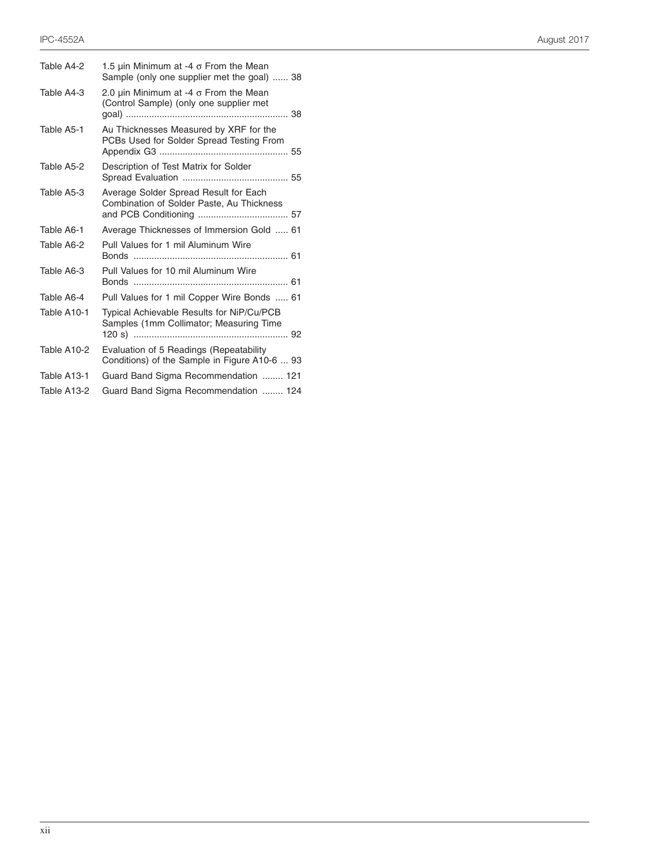| Table A4-2  | 1.5 uin Minimum at -4 $\sigma$ From the Mean<br>Sample (only one supplier met the goal)  38  |
|-------------|----------------------------------------------------------------------------------------------|
| Table A4-3  | 2.0 $\mu$ in Minimum at -4 $\sigma$ From the Mean<br>(Control Sample) (only one supplier met |
| Table A5-1  | Au Thicknesses Measured by XRF for the<br>PCBs Used for Solder Spread Testing From           |
| Table A5-2  | Description of Test Matrix for Solder                                                        |
| Table A5-3  | Average Solder Spread Result for Each<br>Combination of Solder Paste, Au Thickness           |
| Table A6-1  | Average Thicknesses of Immersion Gold  61                                                    |
| Table A6-2  | Pull Values for 1 mil Aluminum Wire                                                          |
| Table A6-3  | Pull Values for 10 mil Aluminum Wire                                                         |
| Table A6-4  | Pull Values for 1 mil Copper Wire Bonds  61                                                  |
| Table A10-1 | Typical Achievable Results for NiP/Cu/PCB<br>Samples (1mm Collimator; Measuring Time         |
| Table A10-2 | Evaluation of 5 Readings (Repeatability<br>Conditions) of the Sample in Figure A10-6  93     |
| Table A13-1 | Guard Band Sigma Recommendation  121                                                         |
| Table A13-2 | Guard Band Sigma Recommendation  124                                                         |